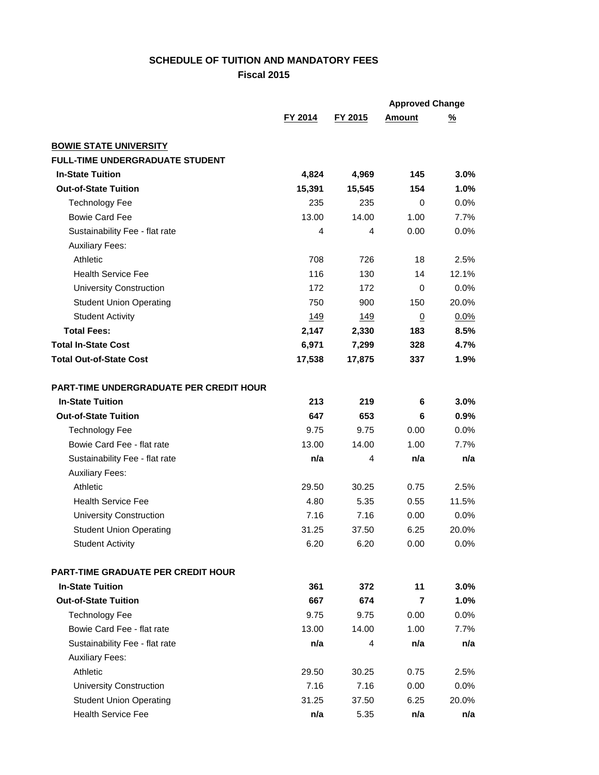## **SCHEDULE OF TUITION AND MANDATORY FEES**

**Fiscal 2015**

|                                                |         |         | <b>Approved Change</b> |          |
|------------------------------------------------|---------|---------|------------------------|----------|
|                                                | FY 2014 | FY 2015 | Amount                 | <u>%</u> |
| <b>BOWIE STATE UNIVERSITY</b>                  |         |         |                        |          |
| <b>FULL-TIME UNDERGRADUATE STUDENT</b>         |         |         |                        |          |
| <b>In-State Tuition</b>                        | 4,824   | 4,969   | 145                    | 3.0%     |
| <b>Out-of-State Tuition</b>                    | 15,391  | 15,545  | 154                    | 1.0%     |
| <b>Technology Fee</b>                          | 235     | 235     | 0                      | 0.0%     |
| <b>Bowie Card Fee</b>                          | 13.00   | 14.00   | 1.00                   | 7.7%     |
| Sustainability Fee - flat rate                 | 4       | 4       | 0.00                   | $0.0\%$  |
| <b>Auxiliary Fees:</b>                         |         |         |                        |          |
| Athletic                                       | 708     | 726     | 18                     | 2.5%     |
| <b>Health Service Fee</b>                      | 116     | 130     | 14                     | 12.1%    |
| <b>University Construction</b>                 | 172     | 172     | 0                      | $0.0\%$  |
| <b>Student Union Operating</b>                 | 750     | 900     | 150                    | 20.0%    |
| <b>Student Activity</b>                        | 149     | 149     | $\overline{0}$         | 0.0%     |
| <b>Total Fees:</b>                             | 2,147   | 2,330   | 183                    | 8.5%     |
| <b>Total In-State Cost</b>                     | 6,971   | 7,299   | 328                    | 4.7%     |
| <b>Total Out-of-State Cost</b>                 | 17,538  | 17,875  | 337                    | 1.9%     |
| <b>PART-TIME UNDERGRADUATE PER CREDIT HOUR</b> |         |         |                        |          |
| <b>In-State Tuition</b>                        | 213     | 219     | 6                      | $3.0\%$  |
| <b>Out-of-State Tuition</b>                    | 647     | 653     | 6                      | 0.9%     |
| <b>Technology Fee</b>                          | 9.75    | 9.75    | 0.00                   | 0.0%     |
| Bowie Card Fee - flat rate                     | 13.00   | 14.00   | 1.00                   | 7.7%     |
| Sustainability Fee - flat rate                 | n/a     | 4       | n/a                    | n/a      |
| <b>Auxiliary Fees:</b>                         |         |         |                        |          |
| Athletic                                       | 29.50   | 30.25   | 0.75                   | 2.5%     |
| <b>Health Service Fee</b>                      | 4.80    | 5.35    | 0.55                   | 11.5%    |
| <b>University Construction</b>                 | 7.16    | 7.16    | 0.00                   | 0.0%     |
| <b>Student Union Operating</b>                 | 31.25   | 37.50   | 6.25                   | 20.0%    |
| <b>Student Activity</b>                        | 6.20    | 6.20    | 0.00                   | 0.0%     |
| <b>PART-TIME GRADUATE PER CREDIT HOUR</b>      |         |         |                        |          |
| <b>In-State Tuition</b>                        | 361     | 372     | 11                     | 3.0%     |
| <b>Out-of-State Tuition</b>                    | 667     | 674     | 7                      | 1.0%     |
| <b>Technology Fee</b>                          | 9.75    | 9.75    | 0.00                   | 0.0%     |
| Bowie Card Fee - flat rate                     | 13.00   | 14.00   | 1.00                   | 7.7%     |
| Sustainability Fee - flat rate                 | n/a     | 4       | n/a                    | n/a      |
| <b>Auxiliary Fees:</b>                         |         |         |                        |          |
| Athletic                                       | 29.50   | 30.25   | 0.75                   | 2.5%     |
| <b>University Construction</b>                 | 7.16    | 7.16    | 0.00                   | 0.0%     |
| <b>Student Union Operating</b>                 | 31.25   | 37.50   | 6.25                   | 20.0%    |
| <b>Health Service Fee</b>                      | n/a     | 5.35    | n/a                    | n/a      |